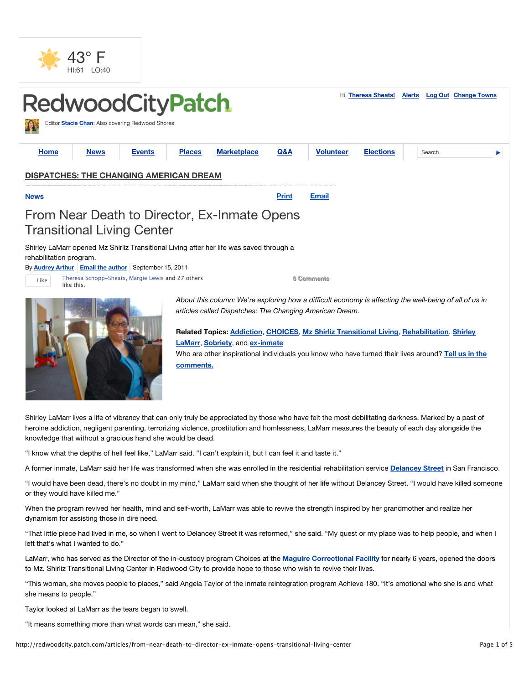



**LaMarr**, **Sobriety**, and **ex-inmate** Who are other inspirational individuals you know who have turned their lives around? **Tell us in the comments.**

Shirley LaMarr lives a life of vibrancy that can only truly be appreciated by those who have felt the most debilitating darkness. Marked by a past of heroine addiction, negligent parenting, terrorizing violence, prostitution and homlessness, LaMarr measures the beauty of each day alongside the knowledge that without a gracious hand she would be dead.

"I know what the depths of hell feel like," LaMarr said. "I can't explain it, but I can feel it and taste it."

A former inmate, LaMarr said her life was transformed when she was enrolled in the residential rehabilitation service **Delancey Street** in San Francisco.

"I would have been dead, there's no doubt in my mind," LaMarr said when she thought of her life without Delancey Street. "I would have killed someone or they would have killed me."

When the program revived her health, mind and self-worth, LaMarr was able to revive the strength inspired by her grandmother and realize her dynamism for assisting those in dire need.

"That little piece had lived in me, so when I went to Delancey Street it was reformed," she said. "My quest or my place was to help people, and when I left that's what I wanted to do."

LaMarr, who has served as the Director of the in-custody program Choices at the **Maguire Correctional Facility** for nearly 6 years, opened the doors to Mz. Shirliz Transitional Living Center in Redwood City to provide hope to those who wish to revive their lives.

"This woman, she moves people to places," said Angela Taylor of the inmate reintegration program Achieve 180. "It's emotional who she is and what she means to people."

Taylor looked at LaMarr as the tears began to swell.

"It means something more than what words can mean," she said.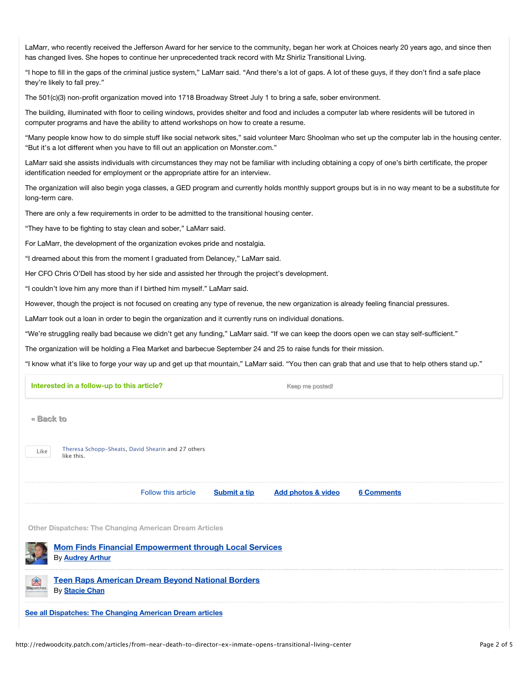LaMarr, who recently received the Jefferson Award for her service to the community, began her work at Choices nearly 20 years ago, and since then has changed lives. She hopes to continue her unprecedented track record with Mz Shirliz Transitional Living.

"I hope to fill in the gaps of the criminal justice system," LaMarr said. "And there's a lot of gaps. A lot of these guys, if they don't find a safe place they're likely to fall prey."

The 501(c)(3) non-profit organization moved into 1718 Broadway Street July 1 to bring a safe, sober environment.

The building, illuminated with floor to ceiling windows, provides shelter and food and includes a computer lab where residents will be tutored in computer programs and have the ability to attend workshops on how to create a resume.

"Many people know how to do simple stuff like social network sites," said volunteer Marc Shoolman who set up the computer lab in the housing center. "But it's a lot different when you have to fill out an application on Monster.com."

LaMarr said she assists individuals with circumstances they may not be familiar with including obtaining a copy of one's birth certificate, the proper identification needed for employment or the appropriate attire for an interview.

The organization will also begin yoga classes, a GED program and currently holds monthly support groups but is in no way meant to be a substitute for long-term care.

There are only a few requirements in order to be admitted to the transitional housing center.

"They have to be fighting to stay clean and sober," LaMarr said.

For LaMarr, the development of the organization evokes pride and nostalgia.

"I dreamed about this from the moment I graduated from Delancey," LaMarr said.

Her CFO Chris O'Dell has stood by her side and assisted her through the project's development.

"I couldn't love him any more than if I birthed him myself." LaMarr said.

However, though the project is not focused on creating any type of revenue, the new organization is already feeling financial pressures.

LaMarr took out a loan in order to begin the organization and it currently runs on individual donations.

"We're struggling really bad because we didn't get any funding," LaMarr said. "If we can keep the doors open we can stay self-sufficient."

The organization will be holding a Flea Market and barbecue September 24 and 25 to raise funds for their mission.

"I know what it's like to forge your way up and get up that mountain," LaMarr said. "You then can grab that and use that to help others stand up."

| Interested in a follow-up to this article?                                               |                                                                                  |                     | Keep me posted!     |                               |                   |  |
|------------------------------------------------------------------------------------------|----------------------------------------------------------------------------------|---------------------|---------------------|-------------------------------|-------------------|--|
| « Back to                                                                                |                                                                                  |                     |                     |                               |                   |  |
| Theresa Schopp-Sheats, David Shearin and 27 others<br>Like<br>like this.                 |                                                                                  |                     |                     |                               |                   |  |
|                                                                                          |                                                                                  | Follow this article | <b>Submit a tip</b> | <b>Add photos &amp; video</b> | <b>6 Comments</b> |  |
| <b>Other Dispatches: The Changing American Dream Articles</b>                            |                                                                                  |                     |                     |                               |                   |  |
| <b>Mom Finds Financial Empowerment through Local Services</b><br>By <b>Audrey Arthur</b> |                                                                                  |                     |                     |                               |                   |  |
| 鱼<br>Dispatche                                                                           | <b>Teen Raps American Dream Beyond National Borders</b><br>By <b>Stacie Chan</b> |                     |                     |                               |                   |  |
| See all Dispatches: The Changing American Dream articles                                 |                                                                                  |                     |                     |                               |                   |  |